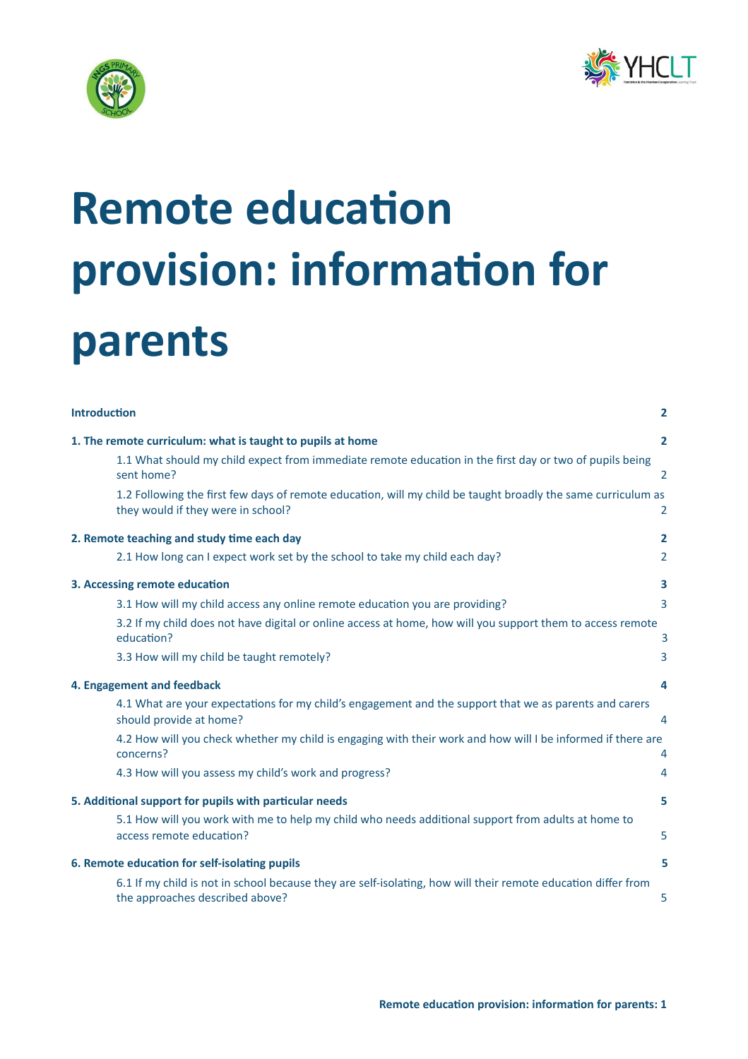



# **Remote education provision: information for parents**

| <b>Introduction</b>                                                                                                                                | $\overline{2}$ |  |
|----------------------------------------------------------------------------------------------------------------------------------------------------|----------------|--|
| 1. The remote curriculum: what is taught to pupils at home<br>$\overline{2}$                                                                       |                |  |
| 1.1 What should my child expect from immediate remote education in the first day or two of pupils being<br>sent home?                              | 2              |  |
| 1.2 Following the first few days of remote education, will my child be taught broadly the same curriculum as<br>they would if they were in school? | $\overline{2}$ |  |
| 2. Remote teaching and study time each day                                                                                                         | $\mathbf{2}$   |  |
| 2.1 How long can I expect work set by the school to take my child each day?                                                                        | $\overline{2}$ |  |
| 3. Accessing remote education                                                                                                                      | 3              |  |
| 3.1 How will my child access any online remote education you are providing?                                                                        | 3              |  |
| 3.2 If my child does not have digital or online access at home, how will you support them to access remote<br>education?                           | 3              |  |
| 3.3 How will my child be taught remotely?                                                                                                          | 3              |  |
| 4. Engagement and feedback                                                                                                                         | 4              |  |
| 4.1 What are your expectations for my child's engagement and the support that we as parents and carers<br>should provide at home?                  | 4              |  |
| 4.2 How will you check whether my child is engaging with their work and how will I be informed if there are<br>concerns?                           | 4              |  |
| 4.3 How will you assess my child's work and progress?                                                                                              | 4              |  |
| 5. Additional support for pupils with particular needs                                                                                             | 5              |  |
| 5.1 How will you work with me to help my child who needs additional support from adults at home to<br>access remote education?                     | 5              |  |
| 6. Remote education for self-isolating pupils                                                                                                      | 5              |  |
| 6.1 If my child is not in school because they are self-isolating, how will their remote education differ from<br>the approaches described above?   | 5              |  |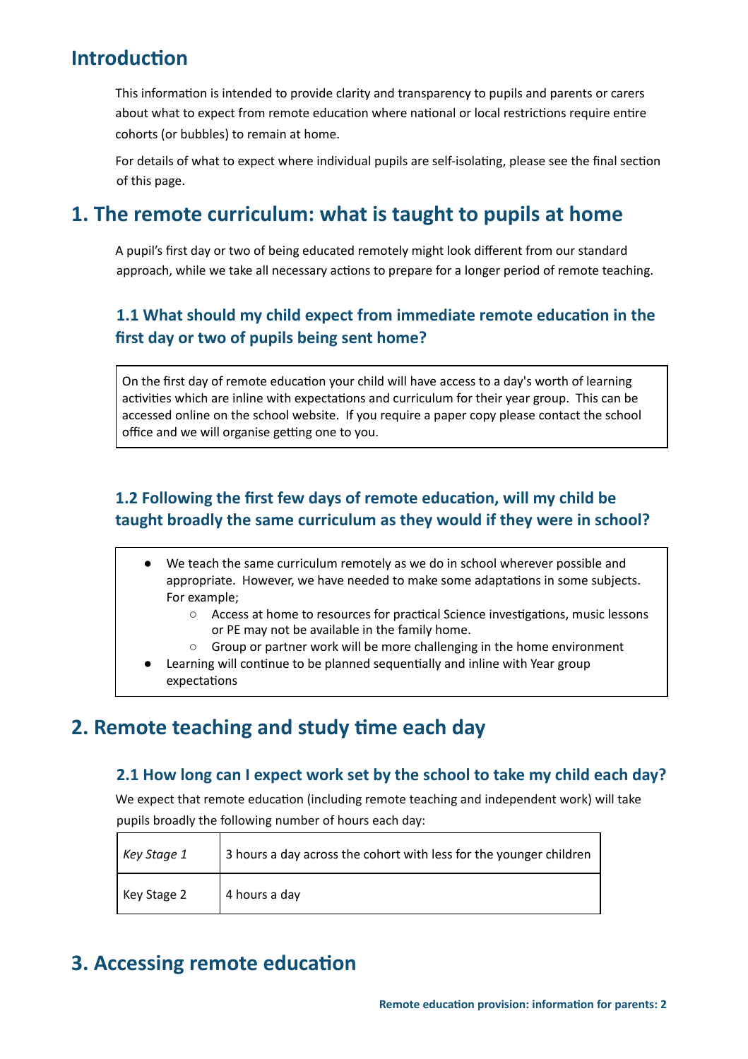# <span id="page-1-0"></span>**Introduction**

This information is intended to provide clarity and transparency to pupils and parents or carers about what to expect from remote education where national or local restrictions require entire cohorts (or bubbles) to remain at home.

For details of what to expect where individual pupils are self-isolating, please see the final section of this page.

## <span id="page-1-1"></span>**1. The remote curriculum: what is taught to pupils at home**

A pupil's first day or two of being educated remotely might look different from our standard approach, while we take all necessary actions to prepare for a longer period of remote teaching.

## <span id="page-1-2"></span>**1.1 What should my child expect from immediate remote educaon in the first day or two of pupils being sent home?**

On the first day of remote education your child will have access to a day's worth of learning activities which are inline with expectations and curriculum for their year group. This can be accessed online on the school website. If you require a paper copy please contact the school office and we will organise getting one to you.

## <span id="page-1-3"></span>**1.2 Following the first few days of remote educaon, will my child be taught broadly the same curriculum as they would if they were in school?**

- We teach the same curriculum remotely as we do in school wherever possible and appropriate. However, we have needed to make some adaptations in some subjects. For example;
	- Access at home to resources for practical Science investigations, music lessons or PE may not be available in the family home.
	- Group or partner work will be more challenging in the home environment
- Learning will continue to be planned sequentially and inline with Year group expectations

# <span id="page-1-5"></span><span id="page-1-4"></span>**2. Remote teaching and study time each day**

### **2.1 How long can I expect work set by the school to take my child each day?**

We expect that remote education (including remote teaching and independent work) will take pupils broadly the following number of hours each day:

| Key Stage 1 | 3 hours a day across the cohort with less for the younger children |
|-------------|--------------------------------------------------------------------|
| Key Stage 2 | 4 hours a day                                                      |

# <span id="page-1-6"></span>**3. Accessing remote education**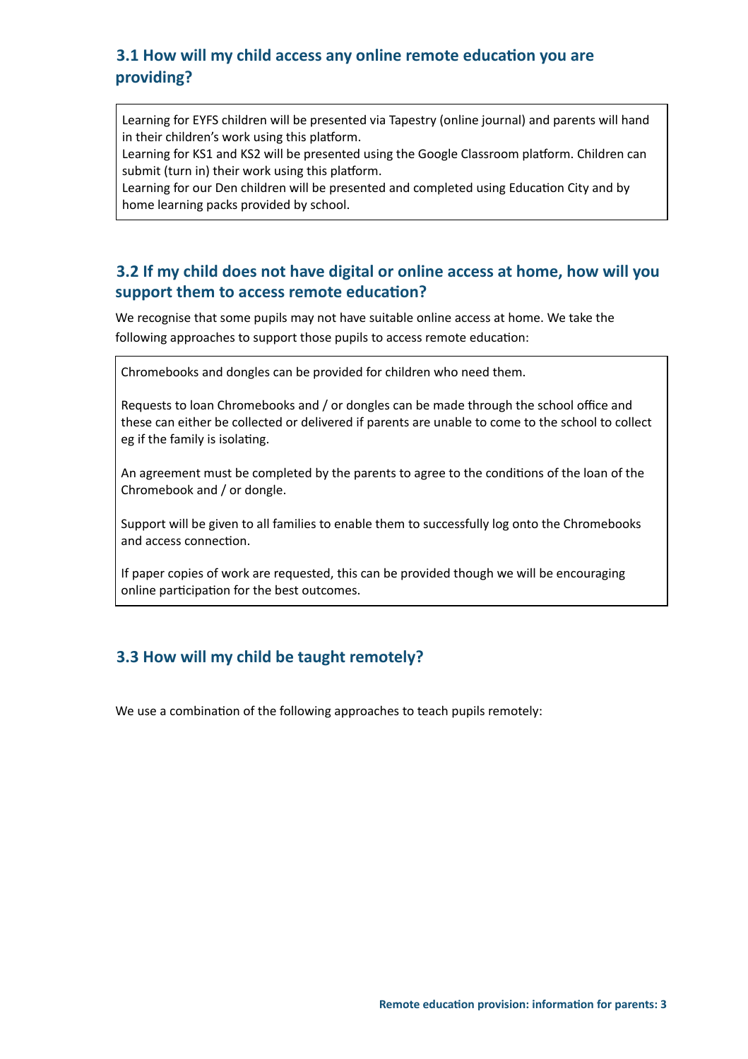## <span id="page-2-0"></span>**3.1 How will my child access any online remote educaon you are providing?**

Learning for EYFS children will be presented via Tapestry (online journal) and parents will hand in their children's work using this platform.

Learning for KS1 and KS2 will be presented using the Google Classroom platform. Children can submit (turn in) their work using this platform.

Learning for our Den children will be presented and completed using Education City and by home learning packs provided by school.

## <span id="page-2-1"></span>**3.2 If my child does not have digital or online access at home, how will you support them to access remote education?**

We recognise that some pupils may not have suitable online access at home. We take the following approaches to support those pupils to access remote education:

Chromebooks and dongles can be provided for children who need them.

Requests to loan Chromebooks and / or dongles can be made through the school office and these can either be collected or delivered if parents are unable to come to the school to collect eg if the family is isolating.

An agreement must be completed by the parents to agree to the conditions of the loan of the Chromebook and / or dongle.

Support will be given to all families to enable them to successfully log onto the Chromebooks and access connection.

If paper copies of work are requested, this can be provided though we will be encouraging online participation for the best outcomes.

## <span id="page-2-2"></span>**3.3 How will my child be taught remotely?**

We use a combination of the following approaches to teach pupils remotely: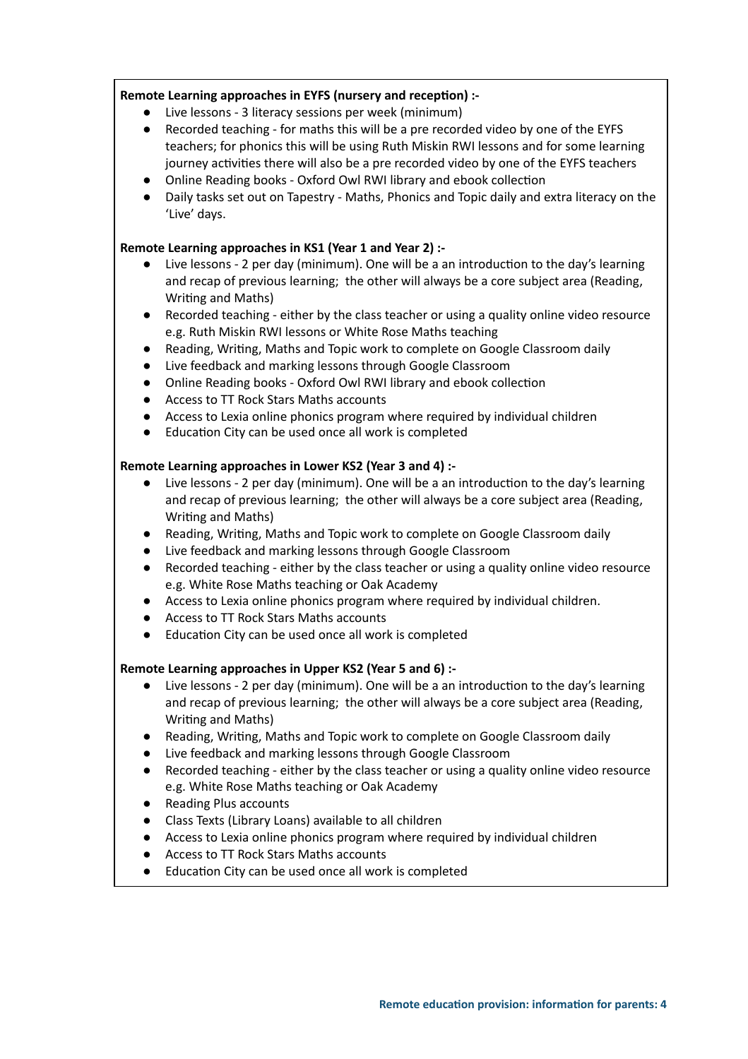#### **Remote Learning approaches in EYFS (nursery and recepon) :-**

- Live lessons 3 literacy sessions per week (minimum)
- Recorded teaching for maths this will be a pre recorded video by one of the EYFS teachers; for phonics this will be using Ruth Miskin RWI lessons and for some learning journey activities there will also be a pre recorded video by one of the EYFS teachers
- Online Reading books Oxford Owl RWI library and ebook collection
- Daily tasks set out on Tapestry Maths, Phonics and Topic daily and extra literacy on the 'Live' days.

#### **Remote Learning approaches in KS1 (Year 1 and Year 2) :-**

- Live lessons 2 per day (minimum). One will be a an introduction to the day's learning and recap of previous learning; the other will always be a core subject area (Reading, Writing and Maths)
- Recorded teaching either by the class teacher or using a quality online video resource e.g. Ruth Miskin RWI lessons or White Rose Maths teaching
- Reading, Writing, Maths and Topic work to complete on Google Classroom daily
- Live feedback and marking lessons through Google Classroom
- Online Reading books Oxford Owl RWI library and ebook collection
- Access to TT Rock Stars Maths accounts
- Access to Lexia online phonics program where required by individual children
- Education City can be used once all work is completed

#### **Remote Learning approaches in Lower KS2 (Year 3 and 4) :-**

- $\bullet$  Live lessons 2 per day (minimum). One will be a an introduction to the day's learning and recap of previous learning; the other will always be a core subject area (Reading, Writing and Maths)
- Reading, Writing, Maths and Topic work to complete on Google Classroom daily
- Live feedback and marking lessons through Google Classroom
- Recorded teaching either by the class teacher or using a quality online video resource e.g. White Rose Maths teaching or Oak Academy
- Access to Lexia online phonics program where required by individual children.
- Access to TT Rock Stars Maths accounts
- Education City can be used once all work is completed

#### **Remote Learning approaches in Upper KS2 (Year 5 and 6) :-**

- $\bullet$  Live lessons 2 per day (minimum). One will be a an introduction to the day's learning and recap of previous learning; the other will always be a core subject area (Reading, Writing and Maths)
- Reading, Writing, Maths and Topic work to complete on Google Classroom daily
- Live feedback and marking lessons through Google Classroom
- Recorded teaching either by the class teacher or using a quality online video resource e.g. White Rose Maths teaching or Oak Academy
- Reading Plus accounts
- Class Texts (Library Loans) available to all children
- Access to Lexia online phonics program where required by individual children
- Access to TT Rock Stars Maths accounts
- <span id="page-3-0"></span>● Education City can be used once all work is completed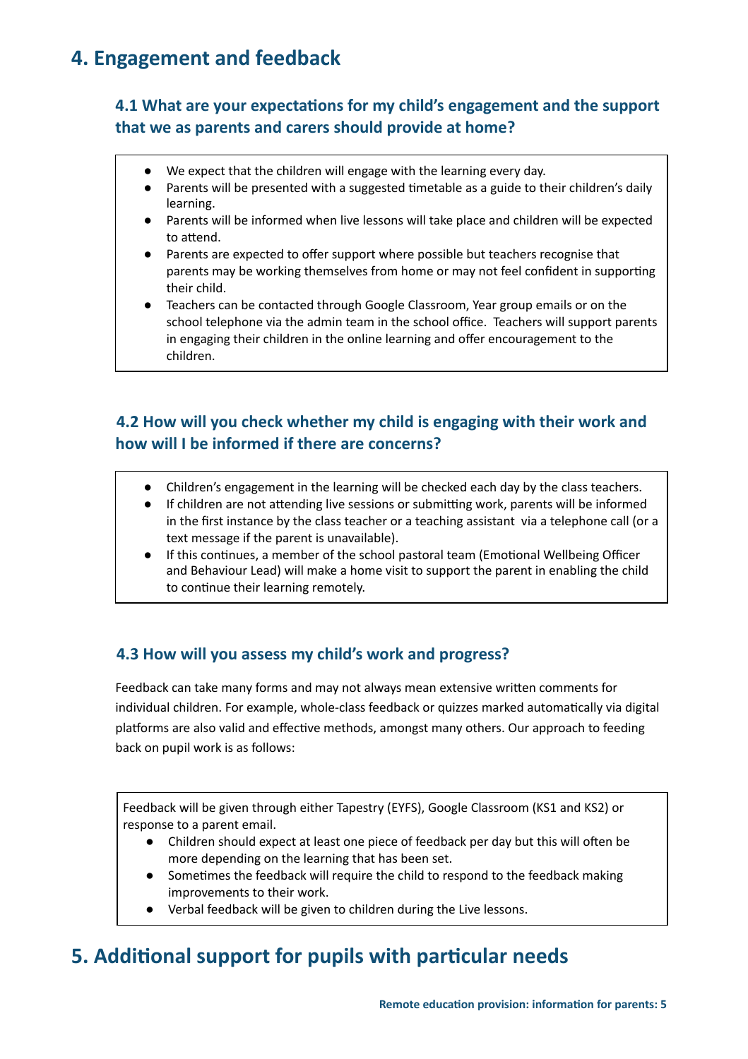# <span id="page-4-0"></span>**4. Engagement and feedback**

## **4.1 What are your expectaons for my child's engagement and the support that we as parents and carers should provide at home?**

- We expect that the children will engage with the learning every day.
- Parents will be presented with a suggested timetable as a guide to their children's daily learning.
- Parents will be informed when live lessons will take place and children will be expected to attend.
- Parents are expected to offer support where possible but teachers recognise that parents may be working themselves from home or may not feel confident in supporting their child.
- Teachers can be contacted through Google Classroom, Year group emails or on the school telephone via the admin team in the school office. Teachers will support parents in engaging their children in the online learning and offer encouragement to the children.

## <span id="page-4-1"></span>**4.2 How will you check whether my child is engaging with their work and how will I be informed if there are concerns?**

- Children's engagement in the learning will be checked each day by the class teachers.
- If children are not attending live sessions or submitting work, parents will be informed in the first instance by the class teacher or a teaching assistant via a telephone call (or a text message if the parent is unavailable).
- If this continues, a member of the school pastoral team (Emotional Wellbeing Officer and Behaviour Lead) will make a home visit to support the parent in enabling the child to continue their learning remotely.

## <span id="page-4-2"></span>**4.3 How will you assess my child's work and progress?**

Feedback can take many forms and may not always mean extensive written comments for individual children. For example, whole-class feedback or quizzes marked automatically via digital platforms are also valid and effective methods, amongst many others. Our approach to feeding back on pupil work is as follows:

Feedback will be given through either Tapestry (EYFS), Google Classroom (KS1 and KS2) or response to a parent email.

- Children should expect at least one piece of feedback per day but this will often be more depending on the learning that has been set.
- Sometimes the feedback will require the child to respond to the feedback making improvements to their work.
- Verbal feedback will be given to children during the Live lessons.

# <span id="page-4-3"></span>**5. Additional support for pupils with particular needs**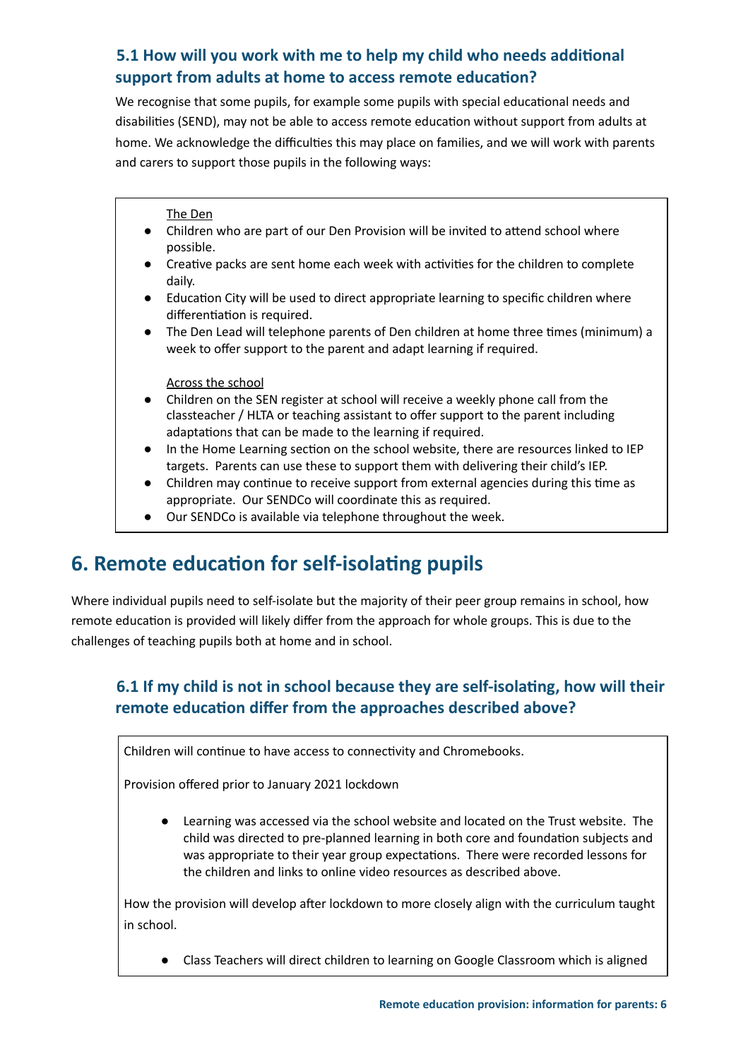## <span id="page-5-0"></span>**5.1 How will you work with me to help my child who needs addional support** from adults at home to access remote education?

We recognise that some pupils, for example some pupils with special educational needs and disabilities (SEND), may not be able to access remote education without support from adults at home. We acknowledge the difficulties this may place on families, and we will work with parents and carers to support those pupils in the following ways:

The Den

- Children who are part of our Den Provision will be invited to attend school where possible.
- $\bullet$  Creative packs are sent home each week with activities for the children to complete daily.
- Education City will be used to direct appropriate learning to specific children where differentiation is required.
- $\bullet$  The Den Lead will telephone parents of Den children at home three times (minimum) a week to offer support to the parent and adapt learning if required.

Across the school

- Children on the SEN register at school will receive a weekly phone call from the classteacher / HLTA or teaching assistant to offer support to the parent including adaptations that can be made to the learning if required.
- In the Home Learning section on the school website, there are resources linked to IEP targets. Parents can use these to support them with delivering their child's IEP.
- Children may continue to receive support from external agencies during this time as appropriate. Our SENDCo will coordinate this as required.
- Our SENDCo is available via telephone throughout the week.

# <span id="page-5-1"></span>**6. Remote education for self-isolating pupils**

Where individual pupils need to self-isolate but the majority of their peer group remains in school, how remote education is provided will likely differ from the approach for whole groups. This is due to the challenges of teaching pupils both at home and in school.

## <span id="page-5-2"></span>**6.1 If my child is not in school because they are self-isolang, how will their remote education differ from the approaches described above?**

Children will continue to have access to connectivity and Chromebooks.

Provision offered prior to January 2021 lockdown

● Learning was accessed via the school website and located on the Trust website. The child was directed to pre-planned learning in both core and foundation subjects and was appropriate to their year group expectations. There were recorded lessons for the children and links to online video resources as described above.

How the provision will develop after lockdown to more closely align with the curriculum taught in school.

● Class Teachers will direct children to learning on Google Classroom which is aligned